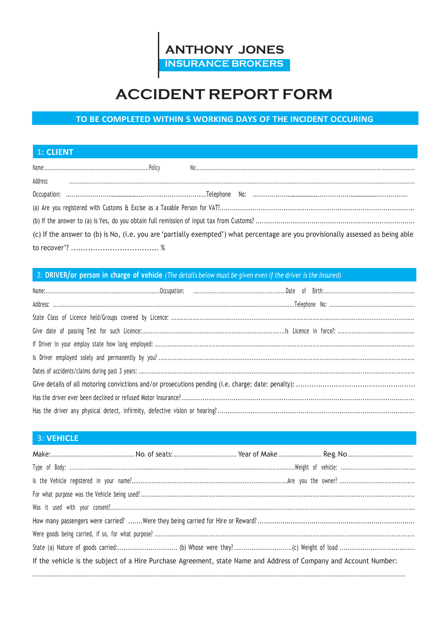

# **ACCIDENT REPORT FORM**

# TO BE COMPLETED WITHIN 5 WORKING DAYS OF THE INCIDENT OCCURING

## 1: CLIENT

| Address:                                                                                                                         |  |  |  |  |
|----------------------------------------------------------------------------------------------------------------------------------|--|--|--|--|
|                                                                                                                                  |  |  |  |  |
|                                                                                                                                  |  |  |  |  |
|                                                                                                                                  |  |  |  |  |
| (c) If the answer to (b) is No, (i.e. you are 'partially exempted') what percentage are you provisionally assessed as being able |  |  |  |  |
|                                                                                                                                  |  |  |  |  |

#### 2: DRIVER/or person in charge of vehicle (The details below must be given even if the driver is the Insured)

#### **3: VEHICLE**

| If the vehicle is the subject of a Hire Purchase Agreement, state Name and Address of Company and Account Number: |  |  |  |
|-------------------------------------------------------------------------------------------------------------------|--|--|--|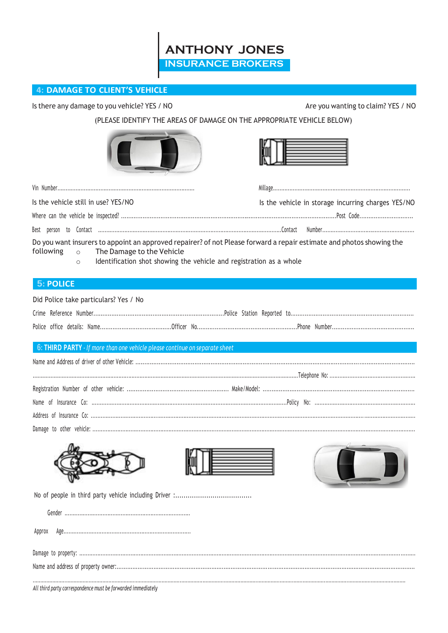**ANTHONY JONES INSURANCE BROKERS** 

#### 4: DAMAGE TO CLIENT'S VEHICLE

Is there any damage to you vehicle? YES / NO

Are you wanting to claim? YES / NO

(PLEASE IDENTIFY THE AREAS OF DAMAGE ON THE APPROPRIATE VEHICLE BELOW)

| Is the vehicle still in use? YES/NO                                                                                                                                                                                                                         | Is the vehicle in storage incurring charges YES/NO |
|-------------------------------------------------------------------------------------------------------------------------------------------------------------------------------------------------------------------------------------------------------------|----------------------------------------------------|
|                                                                                                                                                                                                                                                             |                                                    |
|                                                                                                                                                                                                                                                             |                                                    |
| Do you want insurers to appoint an approved repairer? of not Please forward a repair estimate and photos showing the<br>following<br>The Damage to the Vehicle<br>$\circ$<br>Identification shot showing the vehicle and registration as a whole<br>$\circ$ |                                                    |
| <b>5: POLICE</b>                                                                                                                                                                                                                                            |                                                    |
| Did Police take particulars? Yes / No                                                                                                                                                                                                                       |                                                    |
|                                                                                                                                                                                                                                                             |                                                    |
|                                                                                                                                                                                                                                                             |                                                    |
| 6: THIRD PARTY - If more than one vehicle please continue on separate sheet                                                                                                                                                                                 |                                                    |
|                                                                                                                                                                                                                                                             |                                                    |
|                                                                                                                                                                                                                                                             |                                                    |
|                                                                                                                                                                                                                                                             |                                                    |
|                                                                                                                                                                                                                                                             |                                                    |
|                                                                                                                                                                                                                                                             |                                                    |
|                                                                                                                                                                                                                                                             |                                                    |
|                                                                                                                                                                                                                                                             |                                                    |
|                                                                                                                                                                                                                                                             |                                                    |
|                                                                                                                                                                                                                                                             |                                                    |
| Approx                                                                                                                                                                                                                                                      |                                                    |
|                                                                                                                                                                                                                                                             |                                                    |
|                                                                                                                                                                                                                                                             |                                                    |
| All third party correspondence must be forwarded immediately                                                                                                                                                                                                |                                                    |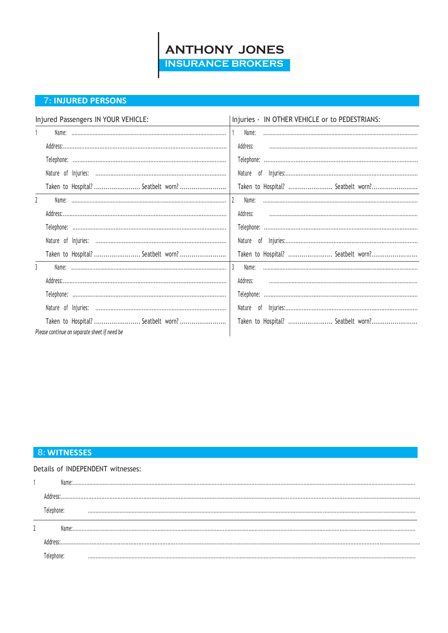

#### **7: INJURED PERSONS**

| Injured Passengers IN YOUR VEHICLE:          | Injuries - IN OTHER VEHICLE or to PEDESTRIANS: |
|----------------------------------------------|------------------------------------------------|
|                                              | Name:                                          |
|                                              | Address:                                       |
|                                              |                                                |
|                                              |                                                |
| Taken to Hospital?  Seatbelt worn?           | Taken to Hospital?  Seatbelt worn?             |
| $\overline{2}$                               | Name:                                          |
|                                              | Address:                                       |
|                                              |                                                |
|                                              |                                                |
| Taken to Hospital?  Seatbelt worn?           | Taken to Hospital?  Seatbelt worn?             |
| 3                                            | Name:                                          |
|                                              | Address:                                       |
|                                              |                                                |
|                                              |                                                |
| Taken to Hospital?  Seatbelt worn?           | Taken to Hospital?  Seatbelt worn?             |
| Please continue on separate sheet if need be |                                                |

#### **8: WITNESSES**

|  | Details of INDEPENDENT witnesses: |
|--|-----------------------------------|
|  |                                   |
|  |                                   |
|  |                                   |
|  |                                   |
|  |                                   |
|  |                                   |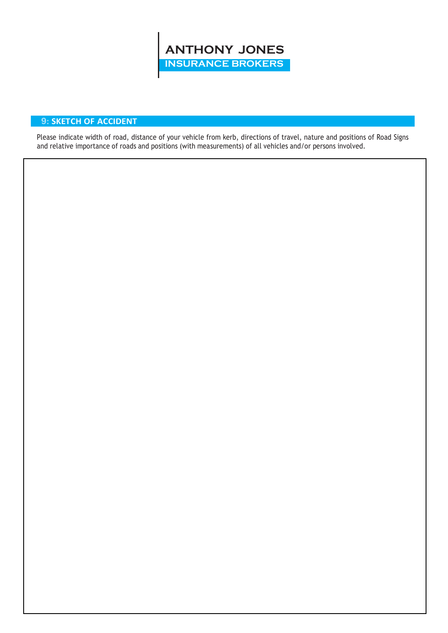

### **9: SKETCH OF ACCIDENT**

Please indicate width of road, distance of your vehicle from kerb, directions of travel, nature and positions of Road Signs and relative importance of roads and positions (with measurements) of all vehicles and/or persons involved.